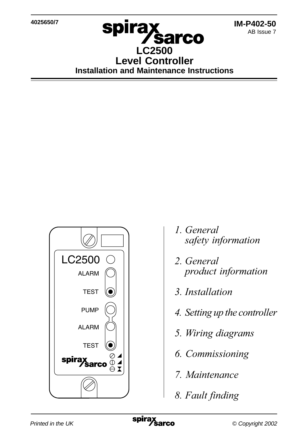**4025650/7**

## spira **Sarco LC2500 Level Controller Installation and Maintenance Instructions**



- 1. General safety information
- 2. General
- 3. Installation
- 4. Setting up the controller
- 5. Wiring diagrams
- 6. Commissioning
- 7. Maintenance
- 8. Fault finding

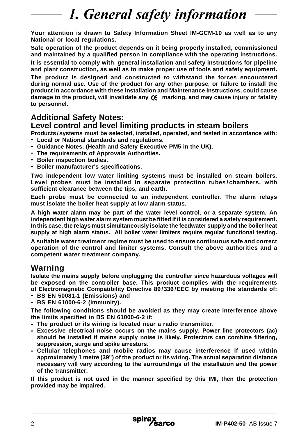# 1. General safety information

**Your attention is drawn to Safety Information Sheet IM-GCM-10 as well as to any National or local regulations.**

**Safe operation of the product depends on it being properly installed, commissioned and maintained by a qualified person in compliance with the operating instructions.**

**It is essential to comply with general installation and safety instructions for pipeline and plant construction, as well as to make proper use of tools and safety equipment.**

**The product is designed and constructed to withstand the forces encountered during normal use. Use of the product for any other purpose, or failure to install the product in accordance with these Installation and Maintenance Instructions, could cause damage to the product, will invalidate any marking, and may cause injury or fatality to personnel.**

## **Additional Safety Notes:**

### **Level control and level limiting products in steam boilers**

**Products /systems must be selected, installed, operated, and tested in accordance with: - Local or National standards and regulations.**

- **- Guidance Notes, (Health and Safety Executive PM5 in the UK).**
- **- The requirements of Approvals Authorities.**
- **- Boiler inspection bodies.**
- **- Boiler manufacturer's specifications.**

**Two independent low water limiting systems must be installed on steam boilers. Level probes must be installed in separate protection tubes/chambers, with sufficient clearance between the tips, and earth.**

**Each probe must be connected to an independent controller. The alarm relays must isolate the boiler heat supply at low alarm status.**

**A high water alarm may be part of the water level control, or a separate system. An independent high water alarm system must be fitted if it is considered a safety requirement. In this case, the relays must simultaneously isolate the feedwater supply and the boiler heat supply at high alarm status. All boiler water limiters require regular functional testing.**

**A suitable water treatment regime must be used to ensure continuous safe and correct operation of the control and limiter systems. Consult the above authorities and a competent water treatment company.**

### **Warning**

**Isolate the mains supply before unplugging the controller since hazardous voltages will be exposed on the controller base. This product complies with the requirements of Electromagnetic Compatibility Directive 89/336/EEC by meeting the standards of:**

- **- BS EN 50081-1 (Emissions) and**
- **- BS EN 61000-6-2 (Immunity).**

**The following conditions should be avoided as they may create interference above the limits specified in BS EN 61000-6-2 if:**

**- The product or its wiring is located near a radio transmitter.**

- **- Excessive electrical noise occurs on the mains supply. Power line protectors (ac) should be installed if mains supply noise is likely. Protectors can combine filtering, suppression, surge and spike arrestors.**
- **- Cellular telephones and mobile radios may cause interference if used within approximately 1 metre (39") of the product or its wiring. The actual separation distance necessary will vary according to the surroundings of the installation and the power of the transmitter.**

**If this product is not used in the manner specified by this IMI, then the protection provided may be impaired.**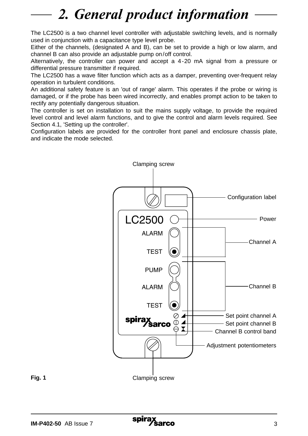# 2. General product information

The LC2500 is a two channel level controller with adjustable switching levels, and is normally used in conjunction with a capacitance type level probe.

Either of the channels, (designated A and B), can be set to provide a high or low alarm, and channel B can also provide an adjustable pump on/off control.

Alternatively, the controller can power and accept a 4-20 mA signal from a pressure or differential pressure transmitter if required.

The LC2500 has a wave filter function which acts as a damper, preventing over-frequent relay operation in turbulent conditions.

An additional safety feature is an 'out of range' alarm. This operates if the probe or wiring is damaged, or if the probe has been wired incorrectly, and enables prompt action to be taken to rectify any potentially dangerous situation.

The controller is set on installation to suit the mains supply voltage, to provide the required level control and level alarm functions, and to give the control and alarm levels required. See Section 4.1, 'Setting up the controller'.

Configuration labels are provided for the controller front panel and enclosure chassis plate, and indicate the mode selected.

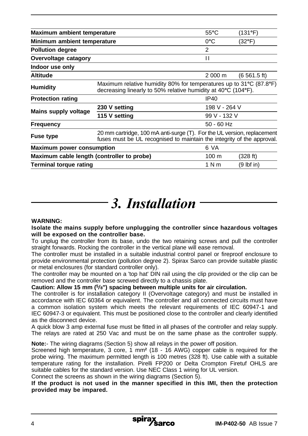| Maximum ambient temperature                |                                                                                                                                                   | $55^{\circ}$ C  | (131°F)        |  |
|--------------------------------------------|---------------------------------------------------------------------------------------------------------------------------------------------------|-----------------|----------------|--|
| Minimum ambient temperature                |                                                                                                                                                   | $0^{\circ}$ C   | (32°F)         |  |
| <b>Pollution degree</b>                    |                                                                                                                                                   | 2               |                |  |
| Overvoltage catagory                       |                                                                                                                                                   | Н               |                |  |
| Indoor use only                            |                                                                                                                                                   |                 |                |  |
| <b>Altitude</b>                            |                                                                                                                                                   | 2 000 m         | (6, 561.5, ft) |  |
| <b>Humidity</b>                            | Maximum relative humidity 80% for temperatures up to 31°C (87.8°F)<br>decreasing linearly to 50% relative humidity at 40°C (104°F).               |                 |                |  |
| <b>Protection rating</b>                   |                                                                                                                                                   | IP40            |                |  |
| Mains supply voltage                       | 230 V setting                                                                                                                                     |                 | 198 V - 264 V  |  |
|                                            | 115 V setting                                                                                                                                     |                 | 99 V - 132 V   |  |
| <b>Frequency</b>                           |                                                                                                                                                   | $50 - 60$ Hz    |                |  |
| <b>Fuse type</b>                           | 20 mm cartridge, 100 mA anti-surge (T). For the UL version, replacement<br>fuses must be UL recognised to maintain the integrity of the approval. |                 |                |  |
| <b>Maximum power consumption</b>           |                                                                                                                                                   | 6 VA            |                |  |
| Maximum cable length (controller to probe) |                                                                                                                                                   | $100 \text{ m}$ | (328 ft)       |  |
| <b>Terminal torque rating</b>              |                                                                                                                                                   | 1 N m           | $(9$ lbf in)   |  |

# 3. Installation

#### **WARNING:**

**Isolate the mains supply before unplugging the controller since hazardous voltages will be exposed on the controller base.**

To unplug the controller from its base, undo the two retaining screws and pull the controller straight forwards. Rocking the controller in the vertical plane will ease removal.

The controller must be installed in a suitable industrial control panel or fireproof enclosure to provide environmental protection (pollution degree 2). Spirax Sarco can provide suitable plastic or metal enclosures (for standard controller only).

The controller may be mounted on a 'top hat' DIN rail using the clip provided or the clip can be removed and the controller base screwed directly to a chassis plate.

**Caution: Allow 15 mm (5/8") spacing between multiple units for air circulation.**

The controller is for installation category II (Overvoltage category) and must be installed in accordance with IEC 60364 or equivalent. The controller and all connected circuits must have a common isolation system which meets the relevant requirements of IEC 60947-1 and IEC 60947-3 or equivalent. This must be positioned close to the controller and clearly identified as the disconnect device.

A quick blow 3 amp external fuse must be fitted in all phases of the controller and relay supply. The relays are rated at 250 Vac and must be on the same phase as the controller supply.

**Note:**- The wiring diagrams (Section 5) show all relays in the power off position.

Screened high temperature, 3 core, 1 mm**<sup>2</sup>** (18 - 16 AWG) copper cable is required for the probe wiring. The maximum permitted length is 100 metres (328 ft). Use cable with a suitable temperature rating for the installation. Pirelli FP200 or Delta Crompton Firetuf OHLS are suitable cables for the standard version. Use NEC Class 1 wiring for UL version.

Connect the screens as shown in the wiring diagrams (Section 5).

**If the product is not used in the manner specified in this IMI, then the protection provided may be impared.**

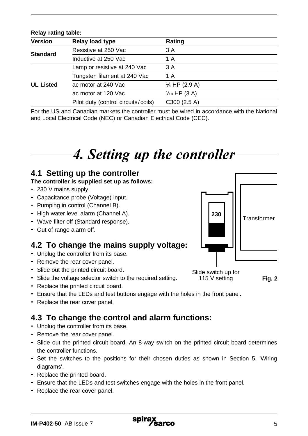| <b>Version</b>   | Relay load type                     | Rating                                                                                       |
|------------------|-------------------------------------|----------------------------------------------------------------------------------------------|
| <b>Standard</b>  | Resistive at 250 Vac                | 3 A                                                                                          |
|                  | Inductive at 250 Vac                | 1 A                                                                                          |
| <b>UL Listed</b> | Lamp or resistive at 240 Vac        | 3 A                                                                                          |
|                  | Tungsten filament at 240 Vac        | 1 A                                                                                          |
|                  | ac motor at 240 Vac                 | $\frac{1}{4}$ HP (2.9 A)                                                                     |
|                  | ac motor at 120 Vac                 | $\frac{1}{10}$ HP (3 A)                                                                      |
|                  | Pilot duty (control circuits/coils) | C300(2.5 A)                                                                                  |
|                  |                                     | For the US and Canadian markets the controller must be wired in accordance with the National |

For the US and Canadian markets the controller must be wired in accordance with the National and Local Electrical Code (NEC) or Canadian Electrical Code (CEC).

# 4. Setting up the controller

### **4.1 Setting up the controller**

#### **The controller is supplied set up as follows:**

**-** 230 V mains supply.

**Relay rating table:**

- **-** Capacitance probe (Voltage) input.
- **-** Pumping in control (Channel B).
- **-** High water level alarm (Channel A).
- **-** Wave filter off (Standard response).
- **-** Out of range alarm off.

### **4.2 To change the mains supply voltage:**

- **-** Unplug the controller from its base.
- **-** Remove the rear cover panel.
- **-** Slide out the printed circuit board.
- **-** Slide the voltage selector switch to the required setting.
- **-** Replace the printed circuit board.
- **-** Ensure that the LEDs and test buttons engage with the holes in the front panel.
- **-** Replace the rear cover panel.

## **4.3 To change the control and alarm functions:**

- **-** Unplug the controller from its base.
- **-** Remove the rear cover panel.
- **-** Slide out the printed circuit board. An 8-way switch on the printed circuit board determines the controller functions.
- **-** Set the switches to the positions for their chosen duties as shown in Section 5, 'Wiring diagrams'.
- **-** Replace the printed board.
- **-** Ensure that the LEDs and test switches engage with the holes in the front panel.
- **-** Replace the rear cover panel.



Slide switch up for 115 V setting

**Fig. 2**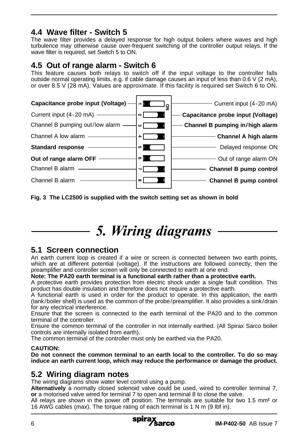## **4.4 Wave filter - Switch 5**

The wave filter provides a delayed response for high output boilers where waves and high turbulence may otherwise cause over-frequent switching of the controller output relays. If the wave filter is required, set Switch 5 to ON.

### **4.5 Out of range alarm - Switch 6**

This feature causes both relays to switch off if the input voltage to the controller falls outside normal operating limits, e.g. if cable damage causes an input of less than 0.6 V (2 mA), or over 8.5 V (28 mA). Values are approximate. If this facility is required set Switch 6 to ON.



**Fig. 3 The LC2500 is supplied with the switch setting set as shown in bold**

# 5. Wiring diagrams

### **5.1 Screen connection**

An earth current loop is created if a wire or screen is connected between two earth points, which are at different potential (voltage). If the instructions are followed correctly, then the preamplifier and controller screen will only be connected to earth at one end.

#### **Note: The PA20 earth terminal is a functional earth rather than a protective earth.**

A protective earth provides protection from electric shock under a single fault condition. This product has double insulation and therefore does not require a protective earth.

A functional earth is used in order for the product to operate. In this application, the earth (tank/boiler shell) is used as the common of the probe/preamplifier. It also provides a sink/drain for any electrical interference.

Ensure that the screen is connected to the earth terminal of the PA20 and to the common terminal of the controller.

Ensure the common terminal of the controller in not internally earthed. (All Spirax Sarco boiler controls are internally isolated from earth).

The common terminal of the controller must only be earthed via the PA20.

#### **CAUTION:**

**Do not connect the common terminal to an earth local to the controller. To do so may induce an earth current loop, which may reduce the performance or damage the product.**

### **5.2 Wiring diagram notes**

The wiring diagrams show water level control using a pump.

**Alternatively** a normally closed solenoid valve could be used, wired to controller terminal 7, **or** a motorised valve wired for terminal 7 to open and terminal 8 to close the valve.

All relays are shown in the power off position. The terminals are suitable for two 1.5 mm<sup>2</sup> or 16 AWG cables (max). The torque rating of each terminal is 1 N m (9 lbf in).

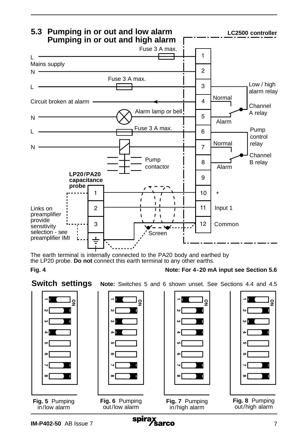

The earth terminal is internally connected to the PA20 body and earthed by the LP20 probe. **Do not** connect this earth terminal to any other earths.

**Fig. 4**

**Switch settings** Note: Switches 5 and 6 shown unset. See Sections 4.4 and 4.5

**Note: For 4-20 mA input see Section 5.6**



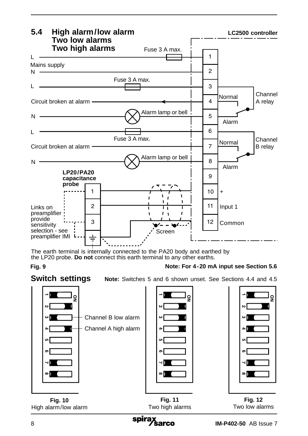

The earth terminal is internally connected to the PA20 body and earthed by the LP20 probe. **Do not** connect this earth terminal to any other earths.

**Fig. 9 Note: For 4-20 mA input see Section 5.6**



**Switch settings** Note: Switches 5 and 6 shown unset. See Sections 4.4 and 4.5



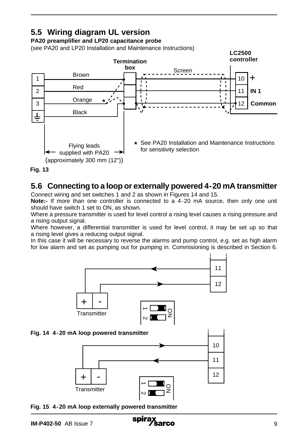## **5.5 Wiring diagram UL version**

#### **PA20 preamplifier and LP20 capacitance probe**

(see PA20 and LP20 Installation and Maintenance Instructions)





### **5.6 Connecting to a loop or externally powered 4-20 mA transmitter**

Connect wiring and set switches 1 and 2 as shown in Figures 14 and 15.

**Note:-** If more than one controller is connected to a 4-20 mA source, then only one unit should have switch 1 set to ON, as shown.

Where a pressure transmitter is used for level control a rising level causes a rising pressure and a rising output signal.

Where however, a differential transmitter is used for level control, it may be set up so that a rising level gives a reducing output signal.

In this case it will be necessary to reverse the alarms and pump control, e.g. set as high alarm for low alarm and set as pumping out for pumping in. Commisioning is described in Section 6.



**Fig. 15 4-20 mA loop externally powered transmitter**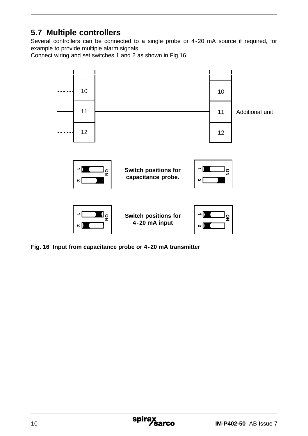## **5.7 Multiple controllers**

Several controllers can be connected to a single probe or 4-20 mA source if required, for example to provide multiple alarm signals.

Connect wiring and set switches 1 and 2 as shown in Fig.16.



**Fig. 16 Input from capacitance probe or 4-20 mA transmitter**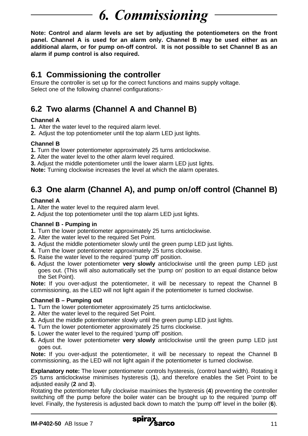# **6.** Commissioning

**Note: Control and alarm levels are set by adjusting the potentiometers on the front panel. Channel A is used for an alarm only. Channel B may be used either as an additional alarm, or for pump on-off control. It is not possible to set Channel B as an alarm if pump control is also required.**

## **6.1 Commissioning the controller**

Ensure the controller is set up for the correct functions and mains supply voltage. Select one of the following channel configurations:-

## **6.2 Two alarms (Channel A and Channel B)**

#### **Channel A**

- **1.** Alter the water level to the required alarm level.
- **2.** Adjust the top potentiometer until the top alarm LED just lights.

#### **Channel B**

- **1.** Turn the lower potentiometer approximately 25 turns anticlockwise.
- **2.** Alter the water level to the other alarm level required.

**3.** Adjust the middle potentiometer until the lower alarm LED just lights.

**Note:** Turning clockwise increases the level at which the alarm operates.

## **6.3 One alarm (Channel A), and pump on/off control (Channel B)**

#### **Channel A**

**1.** Alter the water level to the required alarm level.

**2.** Adjust the top potentiometer until the top alarm LED just lights.

#### **Channel B - Pumping in**

- **1.** Turn the lower potentiometer approximately 25 turns anticlockwise.
- **2.** Alter the water level to the required Set Point.
- **3.** Adjust the middle potentiometer slowly until the green pump LED just lights.
- **4.** Turn the lower potentiometer approximately 25 turns clockwise.
- **5.** Raise the water level to the required 'pump off' position.
- **6.** Adjust the lower potentiometer **very slowly** anticlockwise until the green pump LED just goes out. (This will also automatically set the 'pump on' position to an equal distance below the Set Point).

**Note:** If you over-adjust the potentiometer, it will be necessary to repeat the Channel B commissioning, as the LED will not light again if the potentiometer is turned clockwise.

#### **Channel B – Pumping out**

- **1.** Turn the lower potentiometer approximately 25 turns anticlockwise.
- **2.** Alter the water level to the required Set Point.
- **3.** Adjust the middle potentiometer slowly until the green pump LED just lights.
- **4.** Turn the lower potentiometer approximately 25 turns clockwise.
- **5.** Lower the water level to the required 'pump off' position.
- **6.** Adjust the lower potentiometer **very slowly** anticlockwise until the green pump LED just goes out.

**Note:** If you over-adjust the potentiometer, it will be necessary to repeat the Channel B commissioning, as the LED will not light again if the potentiometer is turned clockwise.

**Explanatory note:** The lower potentiometer controls hysteresis, (control band width). Rotating it 25 turns anticlockwise minimises hysteresis (**1**), and therefore enables the Set Point to be adjusted easily (**2** and **3**).

Rotating the potentiometer fully clockwise maximises the hysteresis (**4**) preventing the controller switching off the pump before the boiler water can be brought up to the required 'pump off' level. Finally, the hysteresis is adjusted back down to match the 'pump off' level in the boiler (**6**).